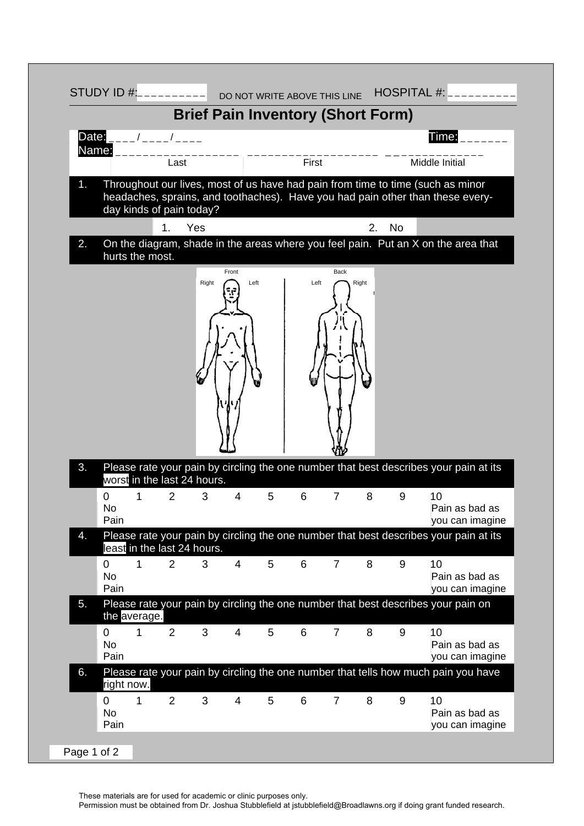

These materials are for used for academic or clinic purposes only.

Permission must be obtained from Dr. Joshua Stubblefield at jstubblefield@Broadlawns.org if doing grant funded research.